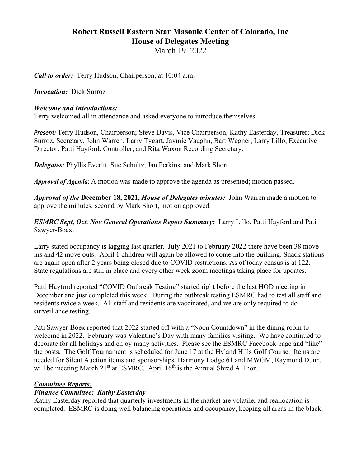# **Robert Russell Eastern Star Masonic Center of Colorado, Inc House of Delegates Meeting** March 19. 2022

*Call to order:* Terry Hudson, Chairperson, at 10:04 a.m.

*Invocation:* Dick Surroz

#### *Welcome and Introductions:*

Terry welcomed all in attendance and asked everyone to introduce themselves.

*Present:* Terry Hudson, Chairperson; Steve Davis, Vice Chairperson; Kathy Easterday, Treasurer; Dick Surroz, Secretary, John Warren, Larry Tygart, Jaymie Vaughn, Bart Wegner, Larry Lillo, Executive Director; Patti Hayford, Controller; and Rita Waxon Recording Secretary.

*Delegates:* Phyllis Everitt, Sue Schultz, Jan Perkins, and Mark Short

*Approval of Agenda*: A motion was made to approve the agenda as presented; motion passed.

*Approval of the* **December 18, 2021,** *House of Delegates minutes:* John Warren made a motion to approve the minutes, second by Mark Short, motion approved.

*ESMRC Sept, Oct, Nov General Operations Report Summary:* Larry Lillo, Patti Hayford and Pati Sawyer-Boex.

Larry stated occupancy is lagging last quarter. July 2021 to February 2022 there have been 38 move ins and 42 move outs. April 1 children will again be allowed to come into the building. Snack stations are again open after 2 years being closed due to COVID restrictions. As of today census is at 122. State regulations are still in place and every other week zoom meetings taking place for updates.

Patti Hayford reported "COVID Outbreak Testing" started right before the last HOD meeting in December and just completed this week. During the outbreak testing ESMRC had to test all staff and residents twice a week. All staff and residents are vaccinated, and we are only required to do surveillance testing.

Pati Sawyer-Boex reported that 2022 started off with a "Noon Countdown" in the dining room to welcome in 2022. February was Valentine's Day with many families visiting. We have continued to decorate for all holidays and enjoy many activities. Please see the ESMRC Facebook page and "like" the posts. The Golf Tournament is scheduled for June 17 at the Hyland Hills Golf Course. Items are needed for Silent Auction items and sponsorships. Harmony Lodge 61 and MWGM, Raymond Dunn, will be meeting March  $21^{st}$  at ESMRC. April  $16^{th}$  is the Annual Shred A Thon.

### *Committee Reports:*

### *Finance Committee: Kathy Easterday*

Kathy Easterday reported that quarterly investments in the market are volatile, and reallocation is completed. ESMRC is doing well balancing operations and occupancy, keeping all areas in the black.